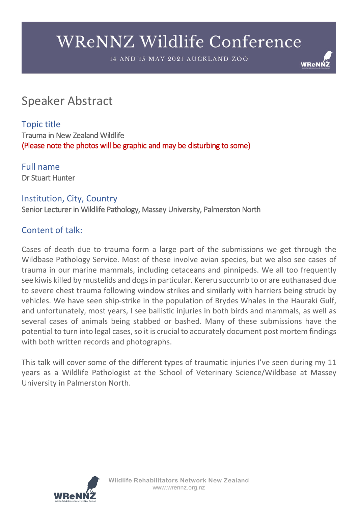14 AND 15 MAY 2021 AUCKLAND ZOO

# **WReNI**

# Speaker Abstract

## Topic title

Trauma in New Zealand Wildlife (Please note the photos will be graphic and may be disturbing to some)

Full name Dr Stuart Hunter

#### Institution, City, Country

Senior Lecturer in Wildlife Pathology, Massey University, Palmerston North

## Content of talk:

Cases of death due to trauma form a large part of the submissions we get through the Wildbase Pathology Service. Most of these involve avian species, but we also see cases of trauma in our marine mammals, including cetaceans and pinnipeds. We all too frequently see kiwis killed by mustelids and dogs in particular. Kereru succumb to or are euthanased due to severe chest trauma following window strikes and similarly with harriers being struck by vehicles. We have seen ship-strike in the population of Brydes Whales in the Hauraki Gulf, and unfortunately, most years, I see ballistic injuries in both birds and mammals, as well as several cases of animals being stabbed or bashed. Many of these submissions have the potential to turn into legal cases, so it is crucial to accurately document post mortem findings with both written records and photographs.

This talk will cover some of the different types of traumatic injuries I've seen during my 11 years as a Wildlife Pathologist at the School of Veterinary Science/Wildbase at Massey University in Palmerston North.

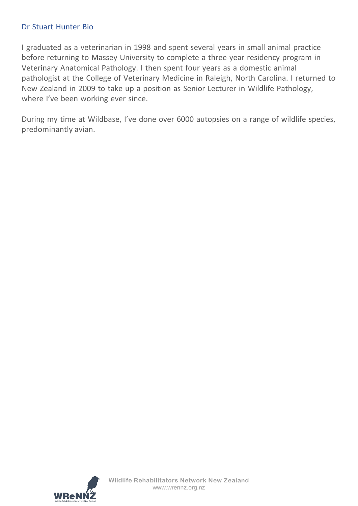#### Dr Stuart Hunter Bio

I graduated as a veterinarian in 1998 and spent several years in small animal practice before returning to Massey University to complete a three-year residency program in Veterinary Anatomical Pathology. I then spent four years as a domestic animal pathologist at the College of Veterinary Medicine in Raleigh, North Carolina. I returned to New Zealand in 2009 to take up a position as Senior Lecturer in Wildlife Pathology, where I've been working ever since.

During my time at Wildbase, I've done over 6000 autopsies on a range of wildlife species, predominantly avian.

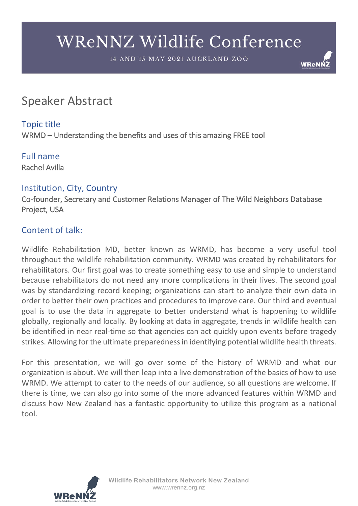14 AND 15 MAY 2021 AUCKLAND ZOO

**WReNI** 

# Speaker Abstract

### Topic title

WRMD – Understanding the benefits and uses of this amazing FREE tool

#### Full name Rachel Avilla

### Institution, City, Country

Co-founder, Secretary and Customer Relations Manager of The Wild Neighbors Database Project, USA

## Content of talk:

Wildlife Rehabilitation MD, better known as WRMD, has become a very useful tool throughout the wildlife rehabilitation community. WRMD was created by rehabilitators for rehabilitators. Our first goal was to create something easy to use and simple to understand because rehabilitators do not need any more complications in their lives. The second goal was by standardizing record keeping; organizations can start to analyze their own data in order to better their own practices and procedures to improve care. Our third and eventual goal is to use the data in aggregate to better understand what is happening to wildlife globally, regionally and locally. By looking at data in aggregate, trends in wildlife health can be identified in near real-time so that agencies can act quickly upon events before tragedy strikes. Allowing for the ultimate preparedness in identifying potential wildlife health threats.

For this presentation, we will go over some of the history of WRMD and what our organization is about. We will then leap into a live demonstration of the basics of how to use WRMD. We attempt to cater to the needs of our audience, so all questions are welcome. If there is time, we can also go into some of the more advanced features within WRMD and discuss how New Zealand has a fantastic opportunity to utilize this program as a national tool.

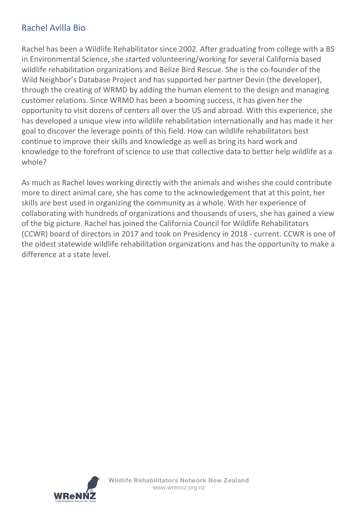## Rachel Avilla Bio

Rachel has been a Wildlife Rehabilitator since 2002. After graduating from college with a BS in Environmental Science, she started volunteering/working for several California based wildlife rehabilitation organizations and Belize Bird Rescue. She is the co-founder of the Wild Neighbor's Database Project and has supported her partner Devin (the developer), through the creating of WRMD by adding the human element to the design and managing customer relations. Since WRMD has been a booming success, it has given her the opportunity to visit dozens of centers all over the US and abroad. With this experience, she has developed a unique view into wildlife rehabilitation internationally and has made it her goal to discover the leverage points of this field. How can wildlife rehabilitators best continue to improve their skills and knowledge as well as bring its hard work and knowledge to the forefront of science to use that collective data to better help wildlife as a whole?

As much as Rachel loves working directly with the animals and wishes she could contribute more to direct animal care, she has come to the acknowledgement that at this point, her skills are best used in organizing the community as a whole. With her experience of collaborating with hundreds of organizations and thousands of users, she has gained a view of the big picture. Rachel has joined the California Council for Wildlife Rehabilitators (CCWR) board of directors in 2017 and took on Presidency in 2018 - current. CCWR is one of the oldest statewide wildlife rehabilitation organizations and has the opportunity to make a difference at a state level.

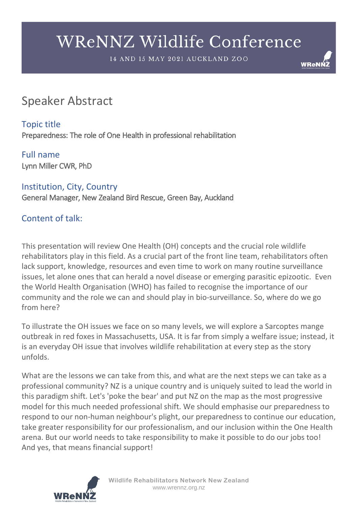14 AND 15 MAY 2021 AUCKLAND ZOO

**WReNI** 

# Speaker Abstract

Topic title Preparedness: The role of One Health in professional rehabilitation

Full name Lynn Miller CWR, PhD

Institution, City, Country General Manager, New Zealand Bird Rescue, Green Bay, Auckland

## Content of talk:

This presentation will review One Health (OH) concepts and the crucial role wildlife rehabilitators play in this field. As a crucial part of the front line team, rehabilitators often lack support, knowledge, resources and even time to work on many routine surveillance issues, let alone ones that can herald a novel disease or emerging parasitic epizootic. Even the World Health Organisation (WHO) has failed to recognise the importance of our community and the role we can and should play in bio-surveillance. So, where do we go from here?

To illustrate the OH issues we face on so many levels, we will explore a Sarcoptes mange outbreak in red foxes in Massachusetts, USA. It is far from simply a welfare issue; instead, it is an everyday OH issue that involves wildlife rehabilitation at every step as the story unfolds.

What are the lessons we can take from this, and what are the next steps we can take as a professional community? NZ is a unique country and is uniquely suited to lead the world in this paradigm shift. Let's 'poke the bear' and put NZ on the map as the most progressive model for this much needed professional shift. We should emphasise our preparedness to respond to our non-human neighbour's plight, our preparedness to continue our education, take greater responsibility for our professionalism, and our inclusion within the One Health arena. But our world needs to take responsibility to make it possible to do our jobs too! And yes, that means financial support!



**Wildlife Rehabilitators Network New Zealand** www.wrennz.org.nz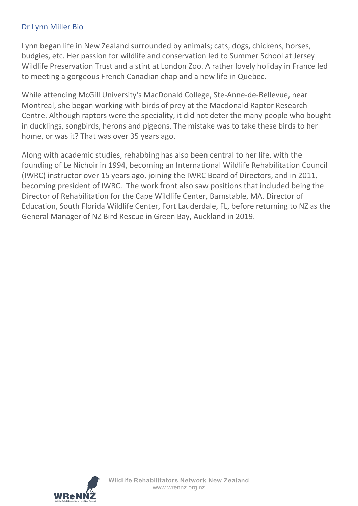#### Dr Lynn Miller Bio

Lynn began life in New Zealand surrounded by animals; cats, dogs, chickens, horses, budgies, etc. Her passion for wildlife and conservation led to Summer School at Jersey Wildlife Preservation Trust and a stint at London Zoo. A rather lovely holiday in France led to meeting a gorgeous French Canadian chap and a new life in Quebec.

While attending McGill University's MacDonald College, Ste-Anne-de-Bellevue, near Montreal, she began working with birds of prey at the Macdonald Raptor Research Centre. Although raptors were the speciality, it did not deter the many people who bought in ducklings, songbirds, herons and pigeons. The mistake was to take these birds to her home, or was it? That was over 35 years ago.

Along with academic studies, rehabbing has also been central to her life, with the founding of Le Nichoir in 1994, becoming an International Wildlife Rehabilitation Council (IWRC) instructor over 15 years ago, joining the IWRC Board of Directors, and in 2011, becoming president of IWRC. The work front also saw positions that included being the Director of Rehabilitation for the Cape Wildlife Center, Barnstable, MA. Director of Education, South Florida Wildlife Center, Fort Lauderdale, FL, before returning to NZ as the General Manager of NZ Bird Rescue in Green Bay, Auckland in 2019.

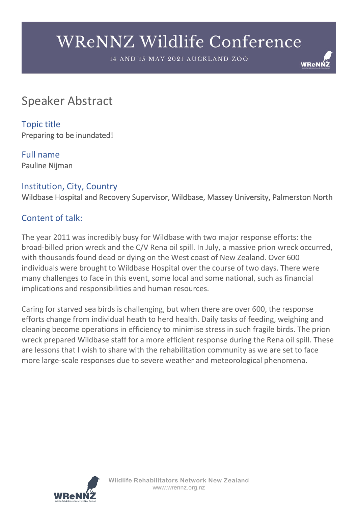14 AND 15 MAY 2021 AUCKLAND ZOO

**WReNI** 

# Speaker Abstract

Topic title Preparing to be inundated!

Full name Pauline Nijman

### Institution, City, Country

Wildbase Hospital and Recovery Supervisor, Wildbase, Massey University, Palmerston North

#### Content of talk:

The year 2011 was incredibly busy for Wildbase with two major response efforts: the broad-billed prion wreck and the C/V Rena oil spill. In July, a massive prion wreck occurred, with thousands found dead or dying on the West coast of New Zealand. Over 600 individuals were brought to Wildbase Hospital over the course of two days. There were many challenges to face in this event, some local and some national, such as financial implications and responsibilities and human resources.

Caring for starved sea birds is challenging, but when there are over 600, the response efforts change from individual heath to herd health. Daily tasks of feeding, weighing and cleaning become operations in efficiency to minimise stress in such fragile birds. The prion wreck prepared Wildbase staff for a more efficient response during the Rena oil spill. These are lessons that I wish to share with the rehabilitation community as we are set to face more large-scale responses due to severe weather and meteorological phenomena.

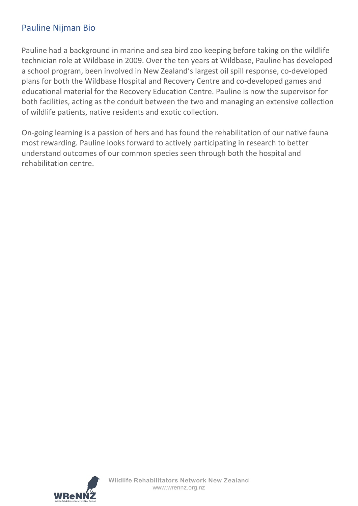## Pauline Nijman Bio

Pauline had a background in marine and sea bird zoo keeping before taking on the wildlife technician role at Wildbase in 2009. Over the ten years at Wildbase, Pauline has developed a school program, been involved in New Zealand's largest oil spill response, co-developed plans for both the Wildbase Hospital and Recovery Centre and co-developed games and educational material for the Recovery Education Centre. Pauline is now the supervisor for both facilities, acting as the conduit between the two and managing an extensive collection of wildlife patients, native residents and exotic collection.

On-going learning is a passion of hers and has found the rehabilitation of our native fauna most rewarding. Pauline looks forward to actively participating in research to better understand outcomes of our common species seen through both the hospital and rehabilitation centre.

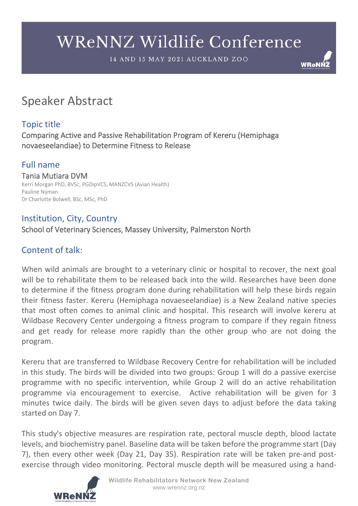14 AND 15 MAY 2021 AUCKLAND ZOO

**WReNI** 

# Speaker Abstract

# Topic title

Comparing Active and Passive Rehabilitation Program of Kereru (Hemiphaga novaeseelandiae) to Determine Fitness to Release

# Full name

Tania Mutiara DVM<br>Kerri Morgan PhD, BVSc, PGDipVCS, MANZCVS (Avian Health) Pauline Nijman Dr Charlotte Bolwell, BSc, MSc, PhD

#### Institution, City, Country School of Veterinary Sciences, Massey University, Palmerston North

# Content of talk:

When wild animals are brought to a veterinary clinic or hospital to recover, the next goal will be to rehabilitate them to be released back into the wild. Researches have been done to determine if the fitness program done during rehabilitation will help these birds regain their fitness faster. Kereru (Hemiphaga novaeseelandiae) is a New Zealand native species that most often comes to animal clinic and hospital. This research will involve kereru at Wildbase Recovery Center undergoing a fitness program to compare if they regain fitness and get ready for release more rapidly than the other group who are not doing the program.

Kereru that are transferred to Wildbase Recovery Centre for rehabilitation will be included in this study. The birds will be divided into two groups: Group 1 will do a passive exercise programme with no specific intervention, while Group 2 will do an active rehabilitation programme via encouragement to exercise. Active rehabilitation will be given for 3 minutes twice daily. The birds will be given seven days to adjust before the data taking started on Day 7.

This study's objective measures are respiration rate, pectoral muscle depth, blood lactate levels, and biochemistry panel. Baseline data will be taken before the programme start (Day 7), then every other week (Day 21, Day 35). Respiration rate will be taken pre-and postexercise through video monitoring. Pectoral muscle depth will be measured using a hand-

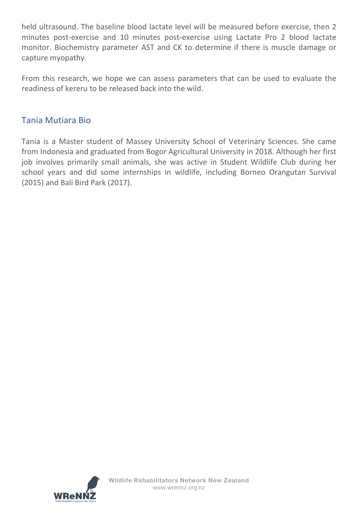held ultrasound. The baseline blood lactate level will be measured before exercise, then 2 minutes post-exercise and 10 minutes post-exercise using Lactate Pro 2 blood lactate monitor. Biochemistry parameter AST and CK to determine if there is muscle damage or capture myopathy.

From this research, we hope we can assess parameters that can be used to evaluate the readiness of kereru to be released back into the wild.

### Tania Mutiara Bio

Tania is a Master student of Massey University School of Veterinary Sciences. She came from Indonesia and graduated from Bogor Agricultural University in 2018. Although her first job involves primarily small animals, she was active in Student Wildlife Club during her school years and did some internships in wildlife, including Borneo Orangutan Survival (2015) and Bali Bird Park (2017).

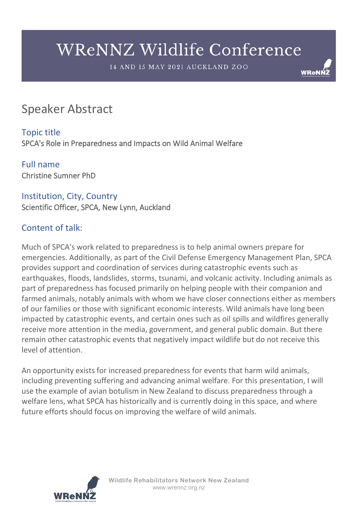14 AND 15 MAY 2021 AUCKLAND ZOO

**WReNI** 

# Speaker Abstract

Topic title SPCA's Role in Preparedness and Impacts on Wild Animal Welfare

Full name Christine Sumner PhD

# Institution, City, Country

Scientific Officer, SPCA, New Lynn, Auckland

## Content of talk:

Much of SPCA's work related to preparedness is to help animal owners prepare for emergencies. Additionally, as part of the Civil Defense Emergency Management Plan, SPCA provides support and coordination of services during catastrophic events such as earthquakes, floods, landslides, storms, tsunami, and volcanic activity. Including animals as part of preparedness has focused primarily on helping people with their companion and farmed animals, notably animals with whom we have closer connections either as members of our families or those with significant economic interests. Wild animals have long been impacted by catastrophic events, and certain ones such as oil spills and wildfires generally receive more attention in the media, government, and general public domain. But there remain other catastrophic events that negatively impact wildlife but do not receive this level of attention.

An opportunity exists for increased preparedness for events that harm wild animals, including preventing suffering and advancing animal welfare. For this presentation, I will use the example of avian botulism in New Zealand to discuss preparedness through a welfare lens, what SPCA has historically and is currently doing in this space, and where future efforts should focus on improving the welfare of wild animals.

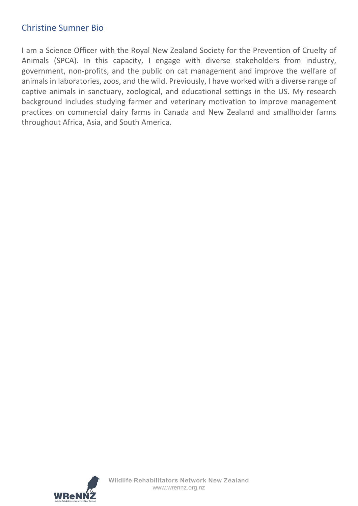### Christine Sumner Bio

I am a Science Officer with the Royal New Zealand Society for the Prevention of Cruelty of Animals (SPCA). In this capacity, I engage with diverse stakeholders from industry, government, non-profits, and the public on cat management and improve the welfare of animals in laboratories, zoos, and the wild. Previously, I have worked with a diverse range of captive animals in sanctuary, zoological, and educational settings in the US. My research background includes studying farmer and veterinary motivation to improve management practices on commercial dairy farms in Canada and New Zealand and smallholder farms throughout Africa, Asia, and South America.

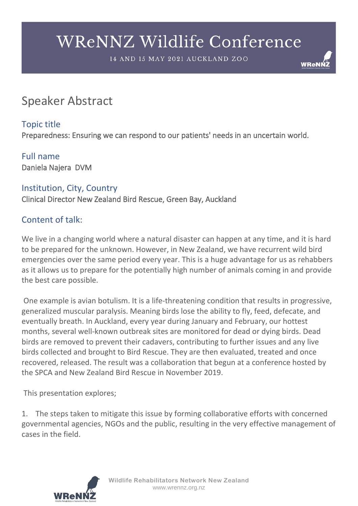14 AND 15 MAY 2021 AUCKLAND ZOO

**WReNI** 

# Speaker Abstract

# Topic title

Preparedness: Ensuring we can respond to our patients' needs in an uncertain world.

### Full name Daniela Najera DVM

### Institution, City, Country

Clinical Director New Zealand Bird Rescue, Green Bay, Auckland

# Content of talk:

We live in a changing world where a natural disaster can happen at any time, and it is hard to be prepared for the unknown. However, in New Zealand, we have recurrent wild bird emergencies over the same period every year. This is a huge advantage for us as rehabbers as it allows us to prepare for the potentially high number of animals coming in and provide the best care possible.

One example is avian botulism. It is a life-threatening condition that results in progressive, generalized muscular paralysis. Meaning birds lose the ability to fly, feed, defecate, and eventually breath. In Auckland, every year during January and February, our hottest months, several well-known outbreak sites are monitored for dead or dying birds. Dead birds are removed to prevent their cadavers, contributing to further issues and any live birds collected and brought to Bird Rescue. They are then evaluated, treated and once recovered, released. The result was a collaboration that begun at a conference hosted by the SPCA and New Zealand Bird Rescue in November 2019.

This presentation explores;

1. The steps taken to mitigate this issue by forming collaborative efforts with concerned governmental agencies, NGOs and the public, resulting in the very effective management of cases in the field.

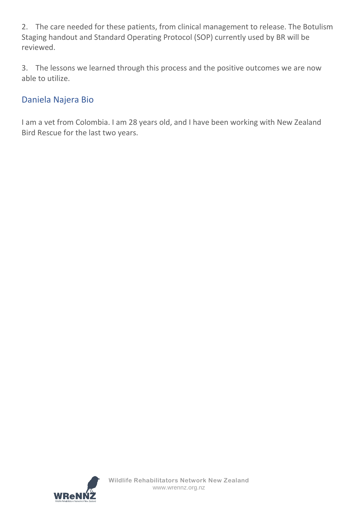2. The care needed for these patients, from clinical management to release. The Botulism Staging handout and Standard Operating Protocol (SOP) currently used by BR will be reviewed.

3. The lessons we learned through this process and the positive outcomes we are now able to utilize.

## Daniela Najera Bio

I am a vet from Colombia. I am 28 years old, and I have been working with New Zealand Bird Rescue for the last two years.

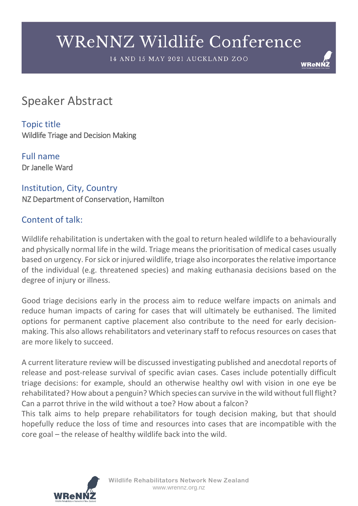14 AND 15 MAY 2021 AUCKLAND ZOO

**WReNI** 

# Speaker Abstract

Topic title Wildlife Triage and Decision Making

Full name Dr Janelle Ward

Institution, City, Country NZ Department of Conservation, Hamilton

## Content of talk:

Wildlife rehabilitation is undertaken with the goal to return healed wildlife to a behaviourally and physically normal life in the wild. Triage means the prioritisation of medical cases usually based on urgency. For sick or injured wildlife, triage also incorporates the relative importance of the individual (e.g. threatened species) and making euthanasia decisions based on the degree of injury or illness.

Good triage decisions early in the process aim to reduce welfare impacts on animals and reduce human impacts of caring for cases that will ultimately be euthanised. The limited options for permanent captive placement also contribute to the need for early decisionmaking. This also allows rehabilitators and veterinary staff to refocus resources on cases that are more likely to succeed.

A current literature review will be discussed investigating published and anecdotal reports of release and post-release survival of specific avian cases. Cases include potentially difficult triage decisions: for example, should an otherwise healthy owl with vision in one eye be rehabilitated? How about a penguin? Which species can survive in the wild without full flight? Can a parrot thrive in the wild without a toe? How about a falcon?

This talk aims to help prepare rehabilitators for tough decision making, but that should hopefully reduce the loss of time and resources into cases that are incompatible with the core goal – the release of healthy wildlife back into the wild.

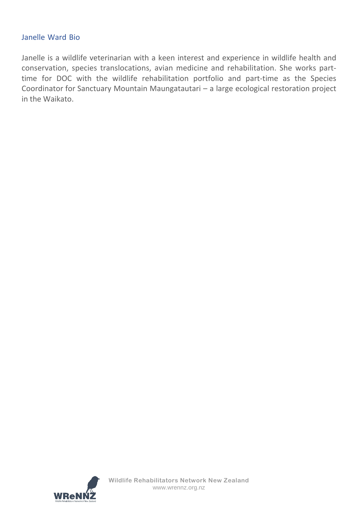#### Janelle Ward Bio

Janelle is a wildlife veterinarian with a keen interest and experience in wildlife health and conservation, species translocations, avian medicine and rehabilitation. She works parttime for DOC with the wildlife rehabilitation portfolio and part-time as the Species Coordinator for Sanctuary Mountain Maungatautari – a large ecological restoration project in the Waikato.

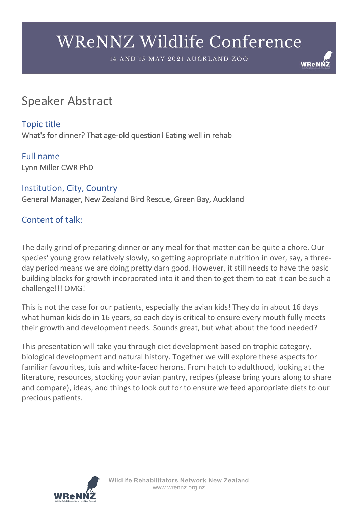14 AND 15 MAY 2021 AUCKLAND ZOO

**WReNI** 

# Speaker Abstract

Topic title What's for dinner? That age-old question! Eating well in rehab

Full name Lynn Miller CWR PhD

Institution, City, Country General Manager, New Zealand Bird Rescue, Green Bay, Auckland

# Content of talk:

The daily grind of preparing dinner or any meal for that matter can be quite a chore. Our species' young grow relatively slowly, so getting appropriate nutrition in over, say, a threeday period means we are doing pretty darn good. However, it still needs to have the basic building blocks for growth incorporated into it and then to get them to eat it can be such a challenge!!! OMG!

This is not the case for our patients, especially the avian kids! They do in about 16 days what human kids do in 16 years, so each day is critical to ensure every mouth fully meets their growth and development needs. Sounds great, but what about the food needed?

This presentation will take you through diet development based on trophic category, biological development and natural history. Together we will explore these aspects for familiar favourites, tuis and white-faced herons. From hatch to adulthood, looking at the literature, resources, stocking your avian pantry, recipes (please bring yours along to share and compare), ideas, and things to look out for to ensure we feed appropriate diets to our precious patients.

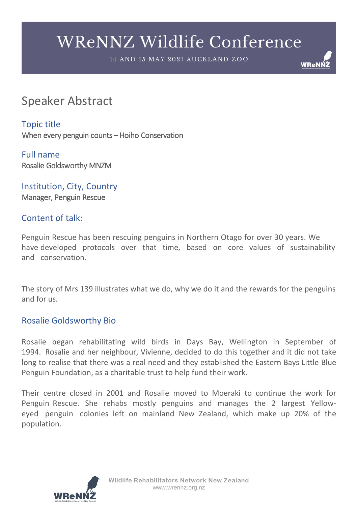14 AND 15 MAY 2021 AUCKLAND ZOO

**WReNI** 

# Speaker Abstract

Topic title When every penguin counts – Hoiho Conservation

Full name Rosalie Goldsworthy MNZM

Institution, City, Country Manager, Penguin Rescue

#### Content of talk:

Penguin Rescue has been rescuing penguins in Northern Otago for over 30 years. We have developed protocols over that time, based on core values of sustainability and conservation.

The story of Mrs 139 illustrates what we do, why we do it and the rewards for the penguins and for us.

### Rosalie Goldsworthy Bio

Rosalie began rehabilitating wild birds in Days Bay, Wellington in September of 1994. Rosalie and her neighbour, Vivienne, decided to do this together and it did not take long to realise that there was a real need and they established the Eastern Bays Little Blue Penguin Foundation, as a charitable trust to help fund their work.

Their centre closed in 2001 and Rosalie moved to Moeraki to continue the work for Penguin Rescue. She rehabs mostly penguins and manages the 2 largest Yelloweyed penguin colonies left on mainland New Zealand, which make up 20% of the population.

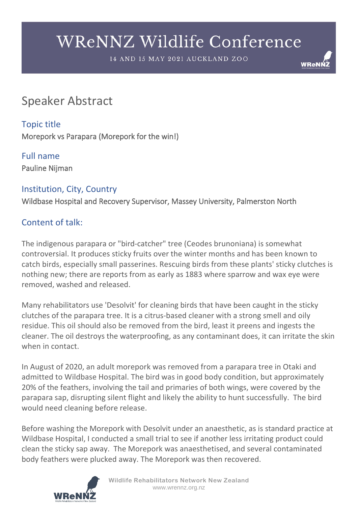14 AND 15 MAY 2021 AUCKLAND ZOO

**WReNI** 

# Speaker Abstract

Topic title Morepork vs Parapara (Morepork for the win!)

Full name Pauline Nijman

### Institution, City, Country

Wildbase Hospital and Recovery Supervisor, Massey University, Palmerston North

# Content of talk:

The indigenous parapara or "bird-catcher" tree (Ceodes brunoniana) is somewhat controversial. It produces sticky fruits over the winter months and has been known to catch birds, especially small passerines. Rescuing birds from these plants' sticky clutches is nothing new; there are reports from as early as 1883 where sparrow and wax eye were removed, washed and released.

Many rehabilitators use 'Desolvit' for cleaning birds that have been caught in the sticky clutches of the parapara tree. It is a citrus-based cleaner with a strong smell and oily residue. This oil should also be removed from the bird, least it preens and ingests the cleaner. The oil destroys the waterproofing, as any contaminant does, it can irritate the skin when in contact.

In August of 2020, an adult morepork was removed from a parapara tree in Otaki and admitted to Wildbase Hospital. The bird was in good body condition, but approximately 20% of the feathers, involving the tail and primaries of both wings, were covered by the parapara sap, disrupting silent flight and likely the ability to hunt successfully. The bird would need cleaning before release.

Before washing the Morepork with Desolvit under an anaesthetic, as is standard practice at Wildbase Hospital, I conducted a small trial to see if another less irritating product could clean the sticky sap away. The Morepork was anaesthetised, and several contaminated body feathers were plucked away. The Morepork was then recovered.



**Wildlife Rehabilitators Network New Zealand** www.wrennz.org.nz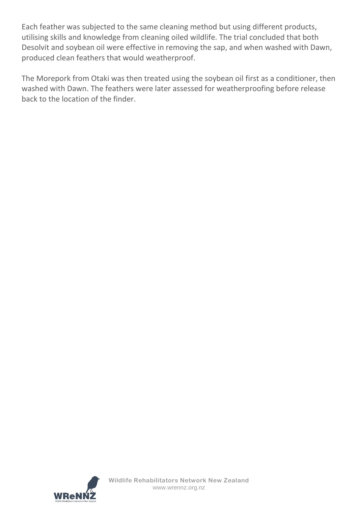Each feather was subjected to the same cleaning method but using different products, utilising skills and knowledge from cleaning oiled wildlife. The trial concluded that both Desolvit and soybean oil were effective in removing the sap, and when washed with Dawn, produced clean feathers that would weatherproof.

The Morepork from Otaki was then treated using the soybean oil first as a conditioner, then washed with Dawn. The feathers were later assessed for weatherproofing before release back to the location of the finder.

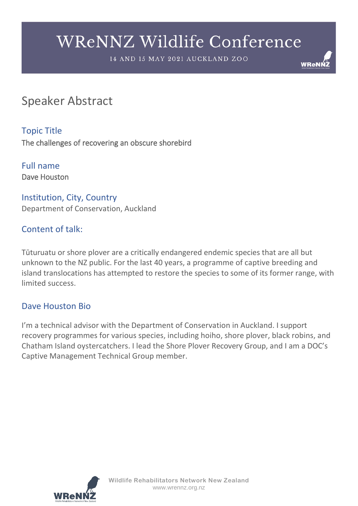14 AND 15 MAY 2021 AUCKLAND ZOO



# Speaker Abstract

Topic Title The challenges of recovering an obscure shorebird

Full name Dave Houston

Institution, City, Country Department of Conservation, Auckland

## Content of talk:

Tūturuatu or shore plover are a critically endangered endemic species that are all but unknown to the NZ public. For the last 40 years, a programme of captive breeding and island translocations has attempted to restore the species to some of its former range, with limited success.

### Dave Houston Bio

I'm a technical advisor with the Department of Conservation in Auckland. I support recovery programmes for various species, including hoiho, shore plover, black robins, and Chatham Island oystercatchers. I lead the Shore Plover Recovery Group, and I am a DOC's Captive Management Technical Group member.

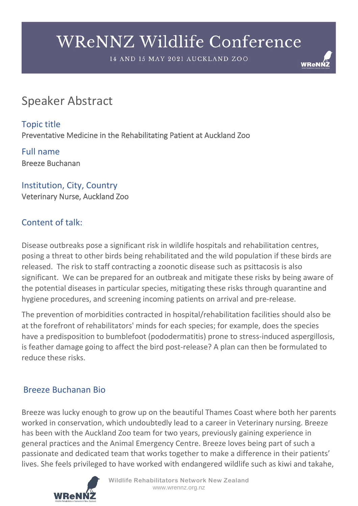14 AND 15 MAY 2021 AUCKLAND ZOO

**WReNI** 

# Speaker Abstract

Topic title Preventative Medicine in the Rehabilitating Patient at Auckland Zoo

Full name Breeze Buchanan

Institution, City, Country Veterinary Nurse, Auckland Zoo

# Content of talk:

Disease outbreaks pose a significant risk in wildlife hospitals and rehabilitation centres, posing a threat to other birds being rehabilitated and the wild population if these birds are released. The risk to staff contracting a zoonotic disease such as psittacosis is also significant. We can be prepared for an outbreak and mitigate these risks by being aware of the potential diseases in particular species, mitigating these risks through quarantine and hygiene procedures, and screening incoming patients on arrival and pre-release.

The prevention of morbidities contracted in hospital/rehabilitation facilities should also be at the forefront of rehabilitators' minds for each species; for example, does the species have a predisposition to bumblefoot (pododermatitis) prone to stress-induced aspergillosis, is feather damage going to affect the bird post-release? A plan can then be formulated to reduce these risks.

## Breeze Buchanan Bio

Breeze was lucky enough to grow up on the beautiful Thames Coast where both her parents worked in conservation, which undoubtedly lead to a career in Veterinary nursing. Breeze has been with the Auckland Zoo team for two years, previously gaining experience in general practices and the Animal Emergency Centre. Breeze loves being part of such a passionate and dedicated team that works together to make a difference in their patients' lives. She feels privileged to have worked with endangered wildlife such as kiwi and takahe,

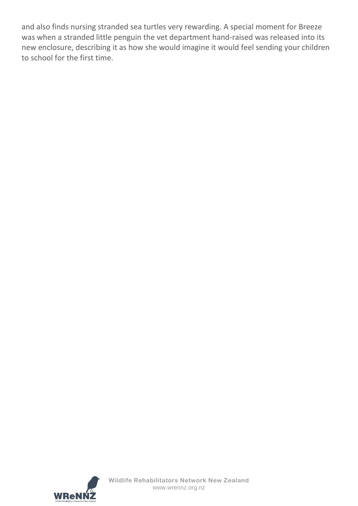and also finds nursing stranded sea turtles very rewarding. A special moment for Breeze was when a stranded little penguin the vet department hand-raised was released into its new enclosure, describing it as how she would imagine it would feel sending your children to school for the first time.

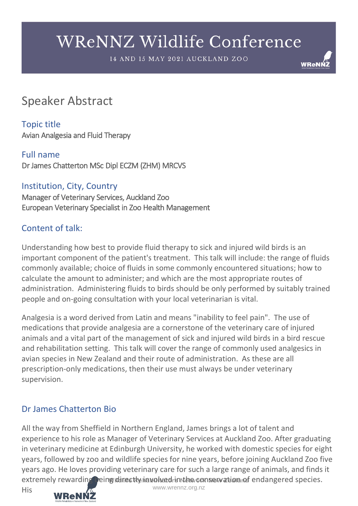14 AND 15 MAY 2021 AUCKLAND ZOO

**WReNN** 

# Speaker Abstract

Topic title Avian Analgesia and Fluid Therapy

Full name Dr James Chatterton MSc Dipl ECZM (ZHM) MRCVS

Institution, City, Country Manager of Veterinary Services, Auckland Zoo European Veterinary Specialist in Zoo Health Management

### Content of talk:

Understanding how best to provide fluid therapy to sick and injured wild birds is an important component of the patient's treatment. This talk will include: the range of fluids commonly available; choice of fluids in some commonly encountered situations; how to calculate the amount to administer; and which are the most appropriate routes of administration. Administering fluids to birds should be only performed by suitably trained people and on-going consultation with your local veterinarian is vital.

Analgesia is a word derived from Latin and means "inability to feel pain". The use of medications that provide analgesia are a cornerstone of the veterinary care of injured animals and a vital part of the management of sick and injured wild birds in a bird rescue and rehabilitation setting. This talk will cover the range of commonly used analgesics in avian species in New Zealand and their route of administration. As these are all prescription-only medications, then their use must always be under veterinary supervision.

## Dr James Chatterton Bio

extremely rewarding being directly inavolved in the conservation of endangered species. All the way from Sheffield in Northern England, James brings a lot of talent and experience to his role as Manager of Veterinary Services at Auckland Zoo. After graduating in veterinary medicine at Edinburgh University, he worked with domestic species for eight years, followed by zoo and wildlife species for nine years, before joining Auckland Zoo five years ago. He loves providing veterinary care for such a large range of animals, and finds it





www.wrennz.org.nz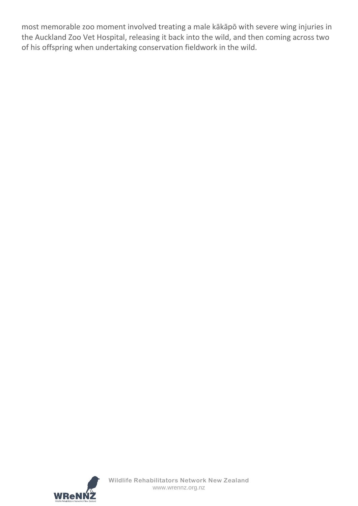most memorable zoo moment involved treating a male kākāpō with severe wing injuries in the Auckland Zoo Vet Hospital, releasing it back into the wild, and then coming across two of his offspring when undertaking conservation fieldwork in the wild.

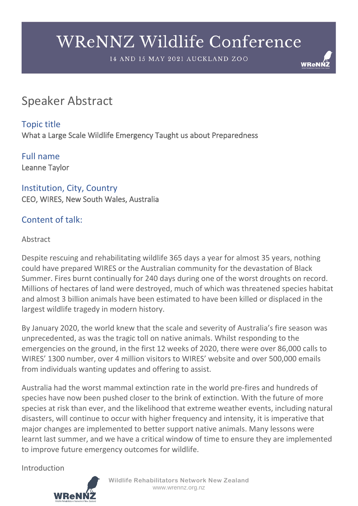14 AND 15 MAY 2021 AUCKLAND ZOO

**WReNI** 

# Speaker Abstract

### Topic title

What a Large Scale Wildlife Emergency Taught us about Preparedness

Full name Leanne Taylor

Institution, City, Country CEO, WIRES, New South Wales, Australia

### Content of talk:

#### Abstract

Despite rescuing and rehabilitating wildlife 365 days a year for almost 35 years, nothing could have prepared WIRES or the Australian community for the devastation of Black Summer. Fires burnt continually for 240 days during one of the worst droughts on record. Millions of hectares of land were destroyed, much of which was threatened species habitat and almost 3 billion animals have been estimated to have been killed or displaced in the largest wildlife tragedy in modern history.

By January 2020, the world knew that the scale and severity of Australia's fire season was unprecedented, as was the tragic toll on native animals. Whilst responding to the emergencies on the ground, in the first 12 weeks of 2020, there were over 86,000 calls to WIRES' 1300 number, over 4 million visitors to WIRES' website and over 500,000 emails from individuals wanting updates and offering to assist.

Australia had the worst mammal extinction rate in the world pre-fires and hundreds of species have now been pushed closer to the brink of extinction. With the future of more species at risk than ever, and the likelihood that extreme weather events, including natural disasters, will continue to occur with higher frequency and intensity, it is imperative that major changes are implemented to better support native animals. Many lessons were learnt last summer, and we have a critical window of time to ensure they are implemented to improve future emergency outcomes for wildlife.

Introduction



**Wildlife Rehabilitators Network New Zealand** www.wrennz.org.nz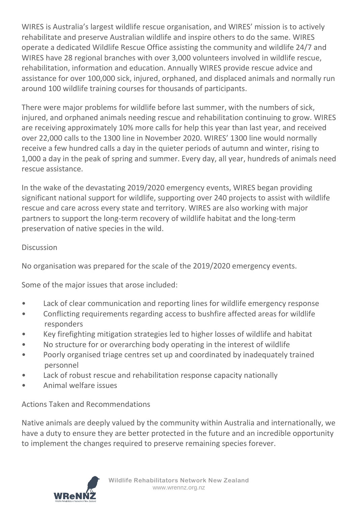WIRES is Australia's largest wildlife rescue organisation, and WIRES' mission is to actively rehabilitate and preserve Australian wildlife and inspire others to do the same. WIRES operate a dedicated Wildlife Rescue Office assisting the community and wildlife 24/7 and WIRES have 28 regional branches with over 3,000 volunteers involved in wildlife rescue, rehabilitation, information and education. Annually WIRES provide rescue advice and assistance for over 100,000 sick, injured, orphaned, and displaced animals and normally run around 100 wildlife training courses for thousands of participants.

There were major problems for wildlife before last summer, with the numbers of sick, injured, and orphaned animals needing rescue and rehabilitation continuing to grow. WIRES are receiving approximately 10% more calls for help this year than last year, and received over 22,000 calls to the 1300 line in November 2020. WIRES' 1300 line would normally receive a few hundred calls a day in the quieter periods of autumn and winter, rising to 1,000 a day in the peak of spring and summer. Every day, all year, hundreds of animals need rescue assistance.

In the wake of the devastating 2019/2020 emergency events, WIRES began providing significant national support for wildlife, supporting over 240 projects to assist with wildlife rescue and care across every state and territory. WIRES are also working with major partners to support the long-term recovery of wildlife habitat and the long-term preservation of native species in the wild.

#### Discussion

No organisation was prepared for the scale of the 2019/2020 emergency events.

Some of the major issues that arose included:

- Lack of clear communication and reporting lines for wildlife emergency response
- Conflicting requirements regarding access to bushfire affected areas for wildlife responders
- Key firefighting mitigation strategies led to higher losses of wildlife and habitat
- No structure for or overarching body operating in the interest of wildlife
- Poorly organised triage centres set up and coordinated by inadequately trained personnel
- Lack of robust rescue and rehabilitation response capacity nationally
- Animal welfare issues

### Actions Taken and Recommendations

Native animals are deeply valued by the community within Australia and internationally, we have a duty to ensure they are better protected in the future and an incredible opportunity to implement the changes required to preserve remaining species forever.

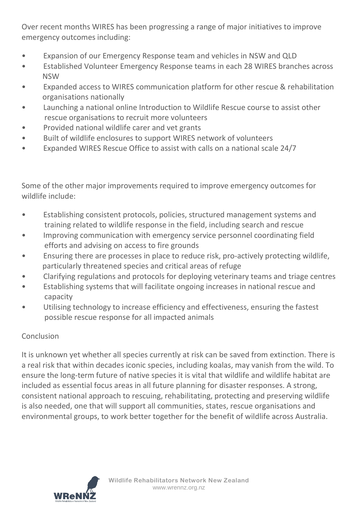Over recent months WIRES has been progressing a range of major initiatives to improve emergency outcomes including:

- Expansion of our Emergency Response team and vehicles in NSW and QLD
- Established Volunteer Emergency Response teams in each 28 WIRES branches across NSW
- Expanded access to WIRES communication platform for other rescue & rehabilitation organisations nationally
- Launching a national online Introduction to Wildlife Rescue course to assist other rescue organisations to recruit more volunteers
- Provided national wildlife carer and vet grants
- Built of wildlife enclosures to support WIRES network of volunteers
- Expanded WIRES Rescue Office to assist with calls on a national scale 24/7

Some of the other major improvements required to improve emergency outcomes for wildlife include:

- Establishing consistent protocols, policies, structured management systems and training related to wildlife response in the field, including search and rescue
- Improving communication with emergency service personnel coordinating field efforts and advising on access to fire grounds
- Ensuring there are processes in place to reduce risk, pro-actively protecting wildlife, particularly threatened species and critical areas of refuge
- Clarifying regulations and protocols for deploying veterinary teams and triage centres
- Establishing systems that will facilitate ongoing increases in national rescue and capacity
- Utilising technology to increase efficiency and effectiveness, ensuring the fastest possible rescue response for all impacted animals

### **Conclusion**

It is unknown yet whether all species currently at risk can be saved from extinction. There is a real risk that within decades iconic species, including koalas, may vanish from the wild. To ensure the long-term future of native species it is vital that wildlife and wildlife habitat are included as essential focus areas in all future planning for disaster responses. A strong, consistent national approach to rescuing, rehabilitating, protecting and preserving wildlife is also needed, one that will support all communities, states, rescue organisations and environmental groups, to work better together for the benefit of wildlife across Australia.

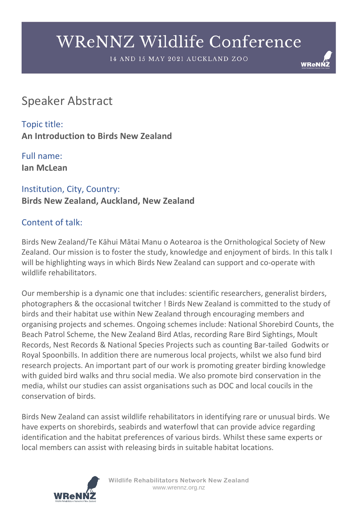14 AND 15 MAY 2021 AUCKLAND ZOO

**WReNI** 

# Speaker Abstract

Topic title: **An Introduction to Birds New Zealand**

Full name: **Ian McLean**

# Institution, City, Country: **Birds New Zealand, Auckland, New Zealand**

## Content of talk:

Birds New Zealand/Te Kāhui Mātai Manu o Aotearoa is the Ornithological Society of New Zealand. Our mission is to foster the study, knowledge and enjoyment of birds. In this talk I will be highlighting ways in which Birds New Zealand can support and co-operate with wildlife rehabilitators.

Our membership is a dynamic one that includes: scientific researchers, generalist birders, photographers & the occasional twitcher ! Birds New Zealand is committed to the study of birds and their habitat use within New Zealand through encouraging members and organising projects and schemes. Ongoing schemes include: National Shorebird Counts, the Beach Patrol Scheme, the New Zealand Bird Atlas, recording Rare Bird Sightings, Moult Records, Nest Records & National Species Projects such as counting Bar-tailed Godwits or Royal Spoonbills. In addition there are numerous local projects, whilst we also fund bird research projects. An important part of our work is promoting greater birding knowledge with guided bird walks and thru social media. We also promote bird conservation in the media, whilst our studies can assist organisations such as DOC and local coucils in the conservation of birds.

Birds New Zealand can assist wildlife rehabilitators in identifying rare or unusual birds. We have experts on shorebirds, seabirds and waterfowl that can provide advice regarding identification and the habitat preferences of various birds. Whilst these same experts or local members can assist with releasing birds in suitable habitat locations.